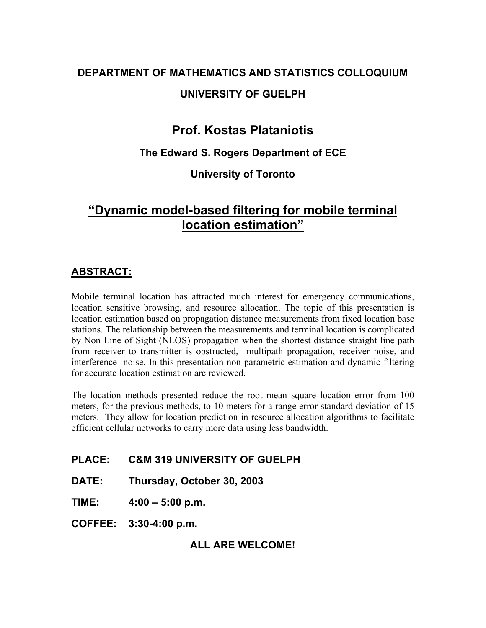# **DEPARTMENT OF MATHEMATICS AND STATISTICS COLLOQUIUM**

## **UNIVERSITY OF GUELPH**

# **Prof. Kostas Plataniotis**

#### **The Edward S. Rogers Department of ECE**

### **University of Toronto**

# **"Dynamic model-based filtering for mobile terminal location estimation"**

## **ABSTRACT:**

Mobile terminal location has attracted much interest for emergency communications, location sensitive browsing, and resource allocation. The topic of this presentation is location estimation based on propagation distance measurements from fixed location base stations. The relationship between the measurements and terminal location is complicated by Non Line of Sight (NLOS) propagation when the shortest distance straight line path from receiver to transmitter is obstructed, multipath propagation, receiver noise, and interference noise. In this presentation non-parametric estimation and dynamic filtering for accurate location estimation are reviewed.

The location methods presented reduce the root mean square location error from 100 meters, for the previous methods, to 10 meters for a range error standard deviation of 15 meters. They allow for location prediction in resource allocation algorithms to facilitate efficient cellular networks to carry more data using less bandwidth.

#### **PLACE: C&M 319 UNIVERSITY OF GUELPH**

**DATE: Thursday, October 30, 2003** 

**TIME: 4:00 – 5:00 p.m.** 

**COFFEE: 3:30-4:00 p.m.** 

**ALL ARE WELCOME!**